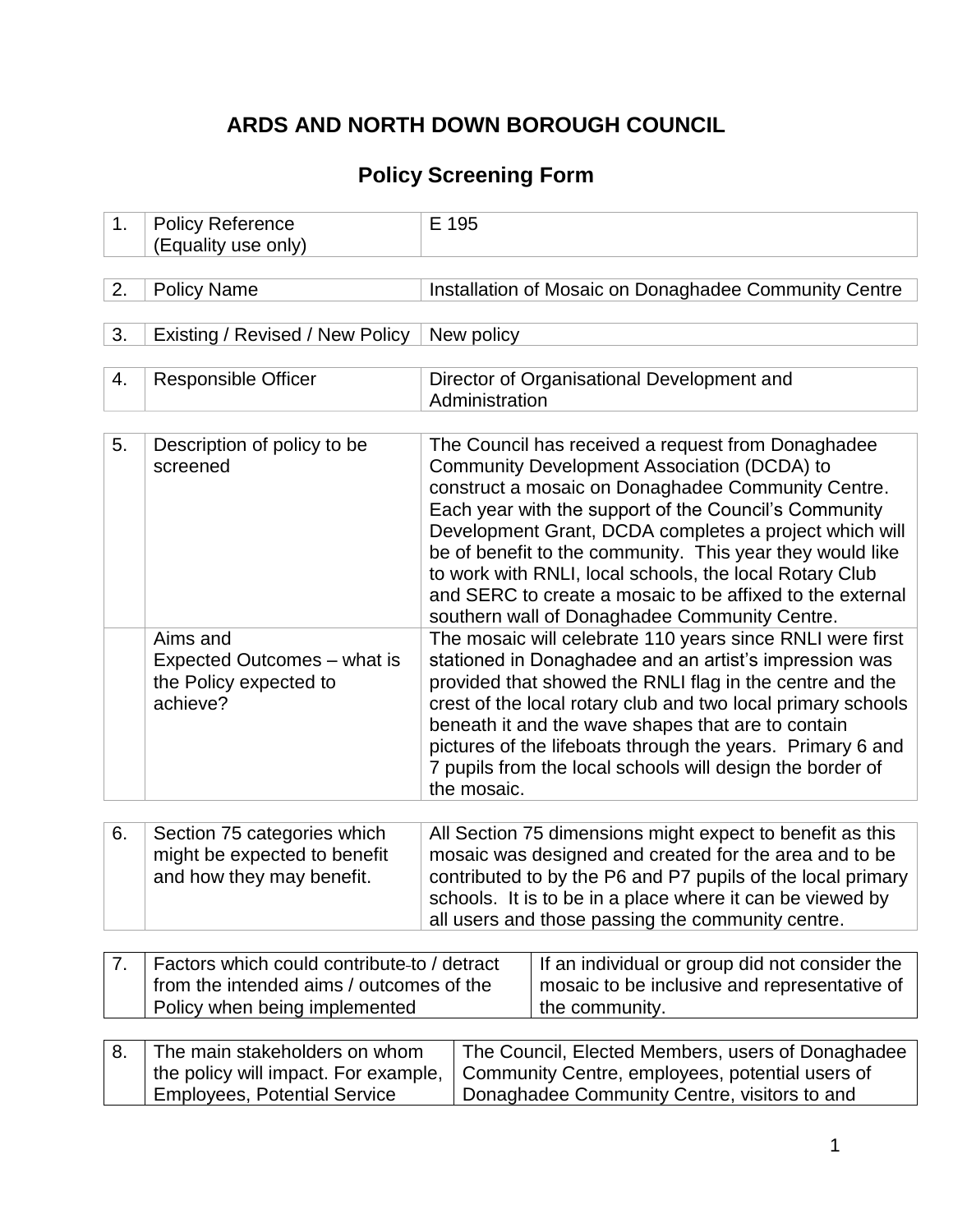# **ARDS AND NORTH DOWN BOROUGH COUNCIL**

## **Policy Screening Form**

| 1. | <b>Policy Reference</b><br>(Equality use only)                                                                                                                                                                                                                       | E 195                                                                                                                                                                                                                                                                                                                                                                                                                                                                                                            |  |  |  |  |  |  |
|----|----------------------------------------------------------------------------------------------------------------------------------------------------------------------------------------------------------------------------------------------------------------------|------------------------------------------------------------------------------------------------------------------------------------------------------------------------------------------------------------------------------------------------------------------------------------------------------------------------------------------------------------------------------------------------------------------------------------------------------------------------------------------------------------------|--|--|--|--|--|--|
| 2. | <b>Policy Name</b>                                                                                                                                                                                                                                                   | Installation of Mosaic on Donaghadee Community Centre                                                                                                                                                                                                                                                                                                                                                                                                                                                            |  |  |  |  |  |  |
| 3. | Existing / Revised / New Policy                                                                                                                                                                                                                                      | New policy                                                                                                                                                                                                                                                                                                                                                                                                                                                                                                       |  |  |  |  |  |  |
| 4. | <b>Responsible Officer</b>                                                                                                                                                                                                                                           | Director of Organisational Development and<br>Administration                                                                                                                                                                                                                                                                                                                                                                                                                                                     |  |  |  |  |  |  |
| 5. | Description of policy to be<br>screened                                                                                                                                                                                                                              | The Council has received a request from Donaghadee<br>Community Development Association (DCDA) to<br>construct a mosaic on Donaghadee Community Centre.<br>Each year with the support of the Council's Community<br>Development Grant, DCDA completes a project which will<br>be of benefit to the community. This year they would like<br>to work with RNLI, local schools, the local Rotary Club<br>and SERC to create a mosaic to be affixed to the external<br>southern wall of Donaghadee Community Centre. |  |  |  |  |  |  |
|    | Aims and<br>Expected Outcomes - what is<br>the Policy expected to<br>achieve?                                                                                                                                                                                        | The mosaic will celebrate 110 years since RNLI were first<br>stationed in Donaghadee and an artist's impression was<br>provided that showed the RNLI flag in the centre and the<br>crest of the local rotary club and two local primary schools<br>beneath it and the wave shapes that are to contain<br>pictures of the lifeboats through the years. Primary 6 and<br>7 pupils from the local schools will design the border of<br>the mosaic.                                                                  |  |  |  |  |  |  |
| 6. | Section 75 categories which<br>might be expected to benefit<br>and how they may benefit.                                                                                                                                                                             | All Section 75 dimensions might expect to benefit as this<br>mosaic was designed and created for the area and to be<br>contributed to by the P6 and P7 pupils of the local primary<br>schools. It is to be in a place where it can be viewed by<br>all users and those passing the community centre.                                                                                                                                                                                                             |  |  |  |  |  |  |
| 7. | Factors which could contribute-to / detract                                                                                                                                                                                                                          | If an individual or group did not consider the                                                                                                                                                                                                                                                                                                                                                                                                                                                                   |  |  |  |  |  |  |
|    | from the intended aims / outcomes of the<br>mosaic to be inclusive and representative of<br>Policy when being implemented<br>the community.                                                                                                                          |                                                                                                                                                                                                                                                                                                                                                                                                                                                                                                                  |  |  |  |  |  |  |
| 8. | The main stakeholders on whom<br>The Council, Elected Members, users of Donaghadee<br>Community Centre, employees, potential users of<br>the policy will impact. For example,<br><b>Employees, Potential Service</b><br>Donaghadee Community Centre, visitors to and |                                                                                                                                                                                                                                                                                                                                                                                                                                                                                                                  |  |  |  |  |  |  |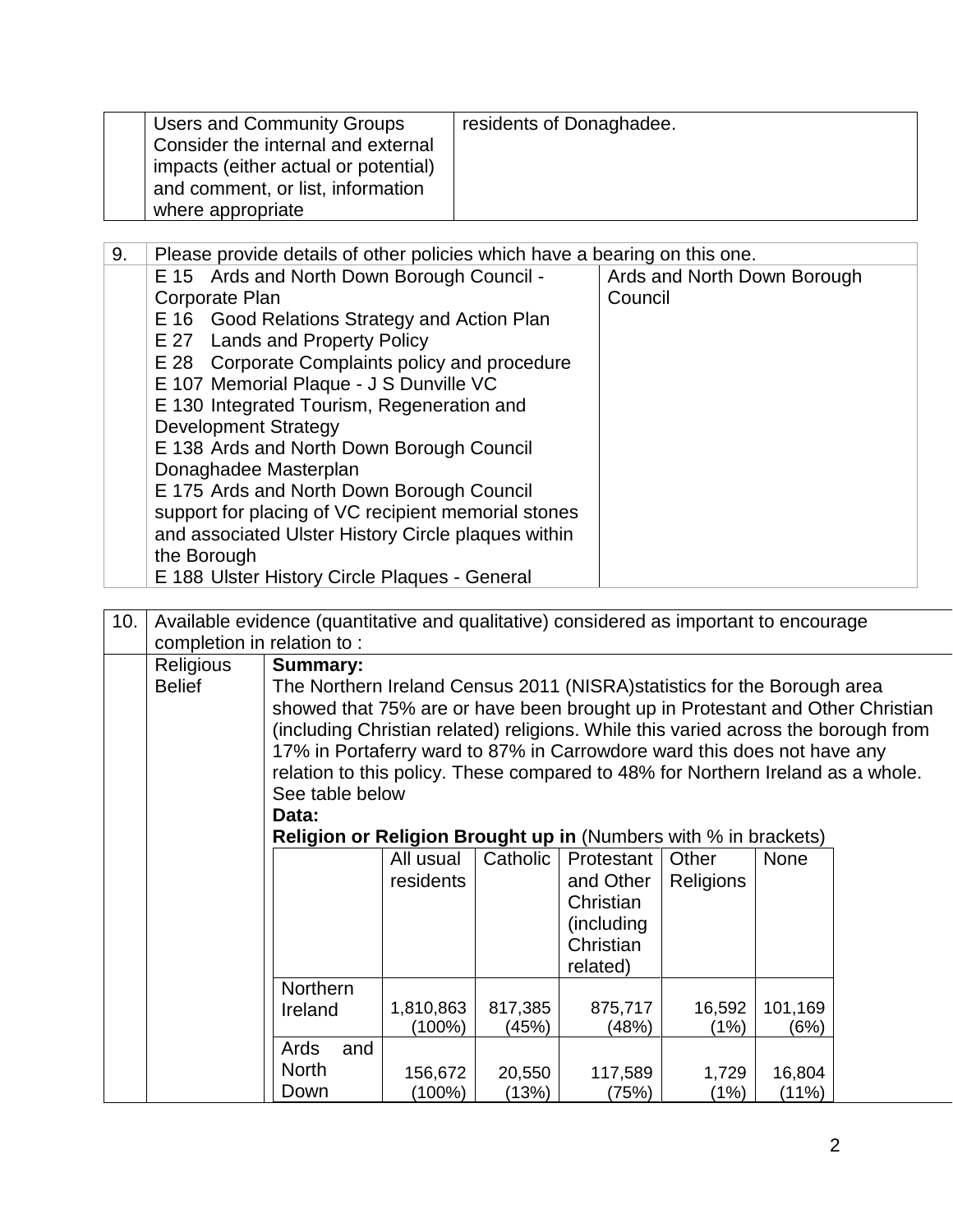| <b>Users and Community Groups</b><br>Consider the internal and external<br>impacts (either actual or potential)<br>and comment, or list, information<br>where appropriate | residents of Donaghadee. |
|---------------------------------------------------------------------------------------------------------------------------------------------------------------------------|--------------------------|
|---------------------------------------------------------------------------------------------------------------------------------------------------------------------------|--------------------------|

| 9. | Please provide details of other policies which have a bearing on this one. |                             |  |  |  |  |  |  |  |
|----|----------------------------------------------------------------------------|-----------------------------|--|--|--|--|--|--|--|
|    | E 15 Ards and North Down Borough Council -                                 | Ards and North Down Borough |  |  |  |  |  |  |  |
|    | Corporate Plan                                                             | Council                     |  |  |  |  |  |  |  |
|    | E 16 Good Relations Strategy and Action Plan                               |                             |  |  |  |  |  |  |  |
|    | E 27 Lands and Property Policy                                             |                             |  |  |  |  |  |  |  |
|    | E 28 Corporate Complaints policy and procedure                             |                             |  |  |  |  |  |  |  |
|    | E 107 Memorial Plaque - J S Dunville VC                                    |                             |  |  |  |  |  |  |  |
|    | E 130 Integrated Tourism, Regeneration and                                 |                             |  |  |  |  |  |  |  |
|    | <b>Development Strategy</b>                                                |                             |  |  |  |  |  |  |  |
|    | E 138 Ards and North Down Borough Council                                  |                             |  |  |  |  |  |  |  |
|    | Donaghadee Masterplan                                                      |                             |  |  |  |  |  |  |  |
|    | E 175 Ards and North Down Borough Council                                  |                             |  |  |  |  |  |  |  |
|    | support for placing of VC recipient memorial stones                        |                             |  |  |  |  |  |  |  |
|    | and associated Ulster History Circle plaques within                        |                             |  |  |  |  |  |  |  |
|    | the Borough                                                                |                             |  |  |  |  |  |  |  |
|    | E 188 Ulster History Circle Plaques - General                              |                             |  |  |  |  |  |  |  |

| 10. |                            | Available evidence (quantitative and qualitative) considered as important to encourage |           |          |            |                  |             |  |  |  |
|-----|----------------------------|----------------------------------------------------------------------------------------|-----------|----------|------------|------------------|-------------|--|--|--|
|     | completion in relation to: |                                                                                        |           |          |            |                  |             |  |  |  |
|     | <b>Religious</b>           | <b>Summary:</b>                                                                        |           |          |            |                  |             |  |  |  |
|     | <b>Belief</b>              | The Northern Ireland Census 2011 (NISRA) statistics for the Borough area               |           |          |            |                  |             |  |  |  |
|     |                            | showed that 75% are or have been brought up in Protestant and Other Christian          |           |          |            |                  |             |  |  |  |
|     |                            | (including Christian related) religions. While this varied across the borough from     |           |          |            |                  |             |  |  |  |
|     |                            | 17% in Portaferry ward to 87% in Carrowdore ward this does not have any                |           |          |            |                  |             |  |  |  |
|     |                            | relation to this policy. These compared to 48% for Northern Ireland as a whole.        |           |          |            |                  |             |  |  |  |
|     |                            | See table below                                                                        |           |          |            |                  |             |  |  |  |
|     |                            | Data:                                                                                  |           |          |            |                  |             |  |  |  |
|     |                            | Religion or Religion Brought up in (Numbers with % in brackets)                        |           |          |            |                  |             |  |  |  |
|     |                            |                                                                                        | All usual | Catholic | Protestant | Other            | <b>None</b> |  |  |  |
|     |                            |                                                                                        | residents |          | and Other  | <b>Religions</b> |             |  |  |  |
|     |                            |                                                                                        |           |          | Christian  |                  |             |  |  |  |
|     |                            |                                                                                        |           |          | (including |                  |             |  |  |  |
|     |                            |                                                                                        |           |          | Christian  |                  |             |  |  |  |
|     |                            |                                                                                        |           |          | related)   |                  |             |  |  |  |
|     |                            | Northern                                                                               |           |          |            |                  |             |  |  |  |
|     |                            | Ireland                                                                                | 1,810,863 | 817,385  | 875,717    | 16,592           | 101,169     |  |  |  |
|     |                            |                                                                                        | (100%)    | (45%)    | (48%)      | (1%)             | (6%)        |  |  |  |
|     |                            | Ards<br>and                                                                            |           |          |            |                  |             |  |  |  |
|     |                            | <b>North</b>                                                                           | 156,672   | 20,550   | 117,589    | 1,729            | 16,804      |  |  |  |
|     |                            | Down                                                                                   | (100%)    | (13%)    | (75%)      | (1%)             | (11%)       |  |  |  |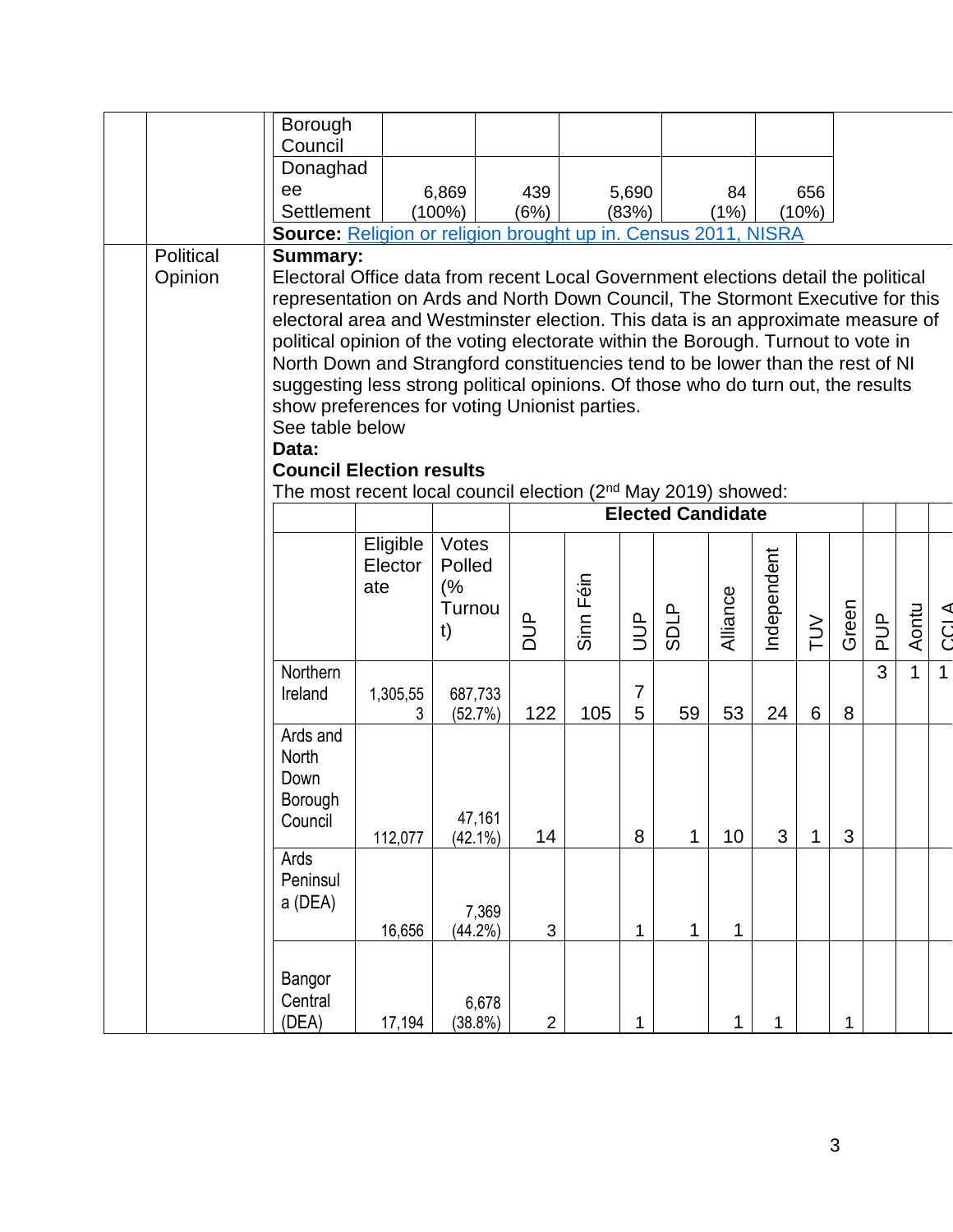|           | Borough                                                                                                                                                           |                     |                      |            |                |           |                |             |          |             |        |       |               |              |             |
|-----------|-------------------------------------------------------------------------------------------------------------------------------------------------------------------|---------------------|----------------------|------------|----------------|-----------|----------------|-------------|----------|-------------|--------|-------|---------------|--------------|-------------|
|           | Council<br>Donaghad                                                                                                                                               |                     |                      |            |                |           |                |             |          |             |        |       |               |              |             |
|           | ee                                                                                                                                                                |                     | 6,869                | 439        |                |           | 5,690          |             | 84       |             | 656    |       |               |              |             |
|           | Settlement                                                                                                                                                        |                     | $(100\%)$            | (6%)       |                |           | (83%)          |             | (1%)     |             | (10%)  |       |               |              |             |
|           | Source: Religion or religion brought up in. Census 2011, NISRA                                                                                                    |                     |                      |            |                |           |                |             |          |             |        |       |               |              |             |
| Political | Summary:                                                                                                                                                          |                     |                      |            |                |           |                |             |          |             |        |       |               |              |             |
| Opinion   | Electoral Office data from recent Local Government elections detail the political                                                                                 |                     |                      |            |                |           |                |             |          |             |        |       |               |              |             |
|           | representation on Ards and North Down Council, The Stormont Executive for this<br>electoral area and Westminster election. This data is an approximate measure of |                     |                      |            |                |           |                |             |          |             |        |       |               |              |             |
|           | political opinion of the voting electorate within the Borough. Turnout to vote in                                                                                 |                     |                      |            |                |           |                |             |          |             |        |       |               |              |             |
|           | North Down and Strangford constituencies tend to be lower than the rest of NI                                                                                     |                     |                      |            |                |           |                |             |          |             |        |       |               |              |             |
|           | suggesting less strong political opinions. Of those who do turn out, the results                                                                                  |                     |                      |            |                |           |                |             |          |             |        |       |               |              |             |
|           | show preferences for voting Unionist parties.                                                                                                                     |                     |                      |            |                |           |                |             |          |             |        |       |               |              |             |
|           | See table below                                                                                                                                                   |                     |                      |            |                |           |                |             |          |             |        |       |               |              |             |
|           | Data:                                                                                                                                                             |                     |                      |            |                |           |                |             |          |             |        |       |               |              |             |
|           | <b>Council Election results</b>                                                                                                                                   |                     |                      |            |                |           |                |             |          |             |        |       |               |              |             |
|           | The most recent local council election (2 <sup>nd</sup> May 2019) showed:<br><b>Elected Candidate</b>                                                             |                     |                      |            |                |           |                |             |          |             |        |       |               |              |             |
|           |                                                                                                                                                                   |                     |                      |            |                |           |                |             |          |             |        |       |               |              |             |
|           |                                                                                                                                                                   | Eligible<br>Elector | Votes<br>Polled      |            |                |           |                |             |          |             |        |       |               |              |             |
|           |                                                                                                                                                                   | ate                 | (%                   |            |                |           |                |             |          |             |        |       |               |              |             |
|           |                                                                                                                                                                   |                     | Turnou               |            |                |           |                |             |          |             |        |       |               |              |             |
|           |                                                                                                                                                                   |                     | t)                   | <b>ACC</b> |                | Sinn Féin | <b>AUD</b>     | <b>SDLP</b> | Alliance | Independent | $\geq$ | Green | $\frac{d}{d}$ | Aontu        | <b>CCLA</b> |
|           |                                                                                                                                                                   |                     |                      |            |                |           |                |             |          |             |        |       |               |              |             |
|           | Northern                                                                                                                                                          |                     |                      |            |                |           | $\overline{7}$ |             |          |             |        |       | 3             | $\mathbf{1}$ | $\mathbf 1$ |
|           | Ireland                                                                                                                                                           | 1,305,55<br>3       | 687,733<br>(52.7%)   | 122        |                | 105       | 5              | 59          | 53       | 24          | 6      | 8     |               |              |             |
|           | Ards and                                                                                                                                                          |                     |                      |            |                |           |                |             |          |             |        |       |               |              |             |
|           | North                                                                                                                                                             |                     |                      |            |                |           |                |             |          |             |        |       |               |              |             |
|           | Down                                                                                                                                                              |                     |                      |            |                |           |                |             |          |             |        |       |               |              |             |
|           | Borough                                                                                                                                                           |                     |                      |            |                |           |                |             |          |             |        |       |               |              |             |
|           | Council                                                                                                                                                           | 112,077             | 47,161<br>$(42.1\%)$ |            | 14             |           | $\bf 8$        | 1           | 10       | 3           | 1      | 3     |               |              |             |
|           | Ards                                                                                                                                                              |                     |                      |            |                |           |                |             |          |             |        |       |               |              |             |
|           | Peninsul                                                                                                                                                          |                     |                      |            |                |           |                |             |          |             |        |       |               |              |             |
|           | a (DEA)                                                                                                                                                           |                     |                      | 7,369      |                |           |                |             |          |             |        |       |               |              |             |
|           |                                                                                                                                                                   | 16,656              | (44.2%)              |            | $\sqrt{3}$     |           | 1              | 1           | 1        |             |        |       |               |              |             |
|           |                                                                                                                                                                   |                     |                      |            |                |           |                |             |          |             |        |       |               |              |             |
|           | Bangor                                                                                                                                                            |                     |                      |            |                |           |                |             |          |             |        |       |               |              |             |
|           | Central                                                                                                                                                           |                     |                      | 6,678      |                |           |                |             |          |             |        |       |               |              |             |
|           | (DEA)                                                                                                                                                             | 17,194              | (38.8%)              |            | $\overline{2}$ |           | $\mathbf{1}$   |             | 1        | 1           |        | 1     |               |              |             |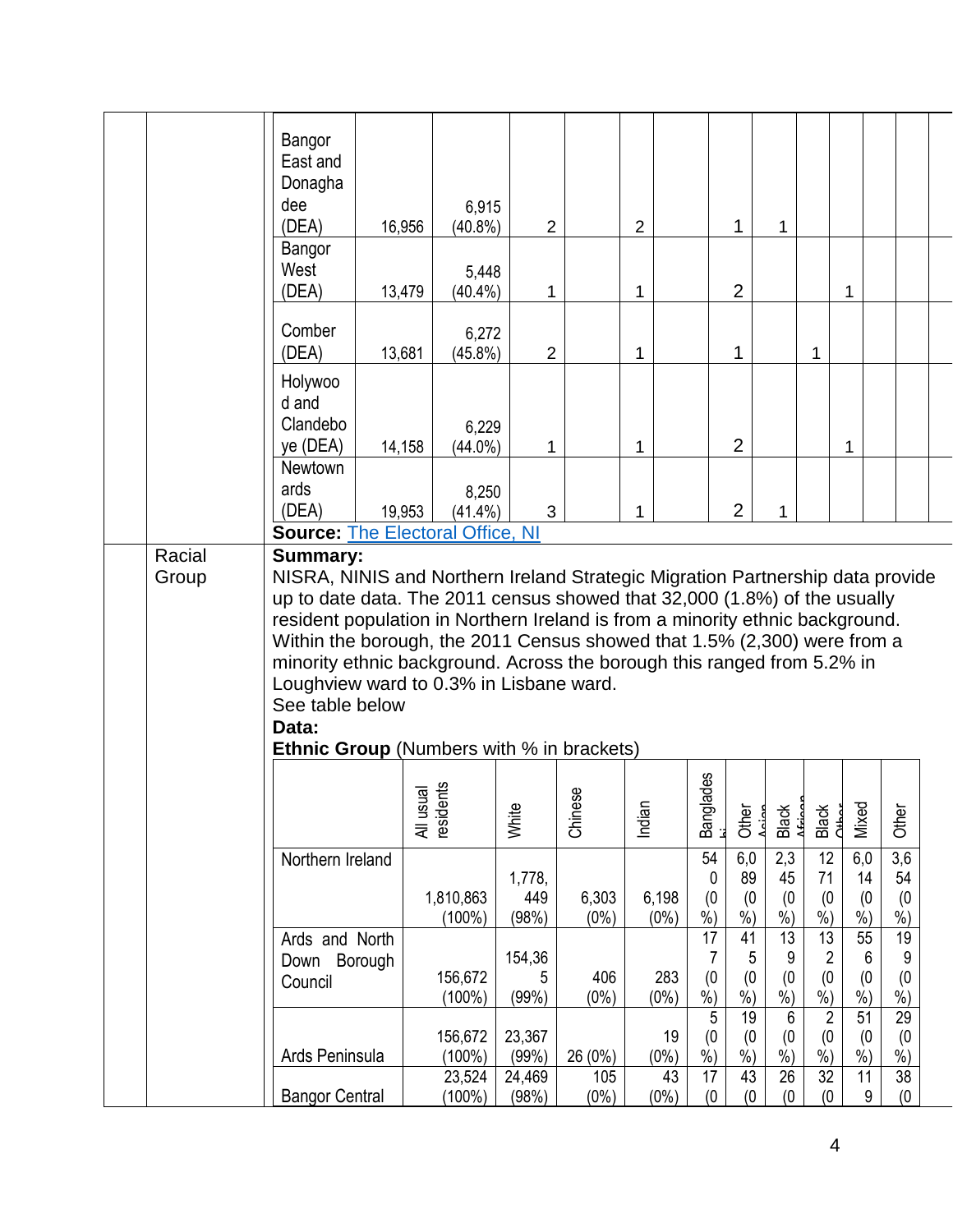|        | Bangor<br>East and<br>Donagha<br>dee<br>(DEA)                                                                                                                                                                                                                                                                                                                                                                                                                                                                                  | 6,915<br>16,956<br>$(40.8\%)$ | $\overline{2}$            |                  | 2                   |                         | 1                         | $\mathbf{1}$              |                                              |                           |                           |  |
|--------|--------------------------------------------------------------------------------------------------------------------------------------------------------------------------------------------------------------------------------------------------------------------------------------------------------------------------------------------------------------------------------------------------------------------------------------------------------------------------------------------------------------------------------|-------------------------------|---------------------------|------------------|---------------------|-------------------------|---------------------------|---------------------------|----------------------------------------------|---------------------------|---------------------------|--|
|        | Bangor<br>West<br>(DEA)                                                                                                                                                                                                                                                                                                                                                                                                                                                                                                        | 5,448<br>13,479<br>$(40.4\%)$ | 1                         |                  | $\mathbf{1}$        |                         | $\overline{2}$            |                           |                                              | 1                         |                           |  |
|        | Comber<br>(DEA)                                                                                                                                                                                                                                                                                                                                                                                                                                                                                                                | 6,272<br>13,681<br>$(45.8\%)$ | $\overline{2}$            |                  | $\mathbf 1$         |                         | 1                         |                           | 1                                            |                           |                           |  |
|        | Holywoo<br>d and<br>Clandebo<br>ye (DEA)                                                                                                                                                                                                                                                                                                                                                                                                                                                                                       | 6,229<br>14,158<br>$(44.0\%)$ | 1                         |                  | 1                   |                         | $\overline{2}$            |                           |                                              | 1                         |                           |  |
|        | <b>Newtown</b><br>ards<br>(DEA)                                                                                                                                                                                                                                                                                                                                                                                                                                                                                                | 8,250<br>19,953<br>$(41.4\%)$ | 3                         |                  | 1                   |                         | $\overline{2}$            | 1                         |                                              |                           |                           |  |
| Racial | <b>Source: The Electoral Office, NI</b><br><b>Summary:</b>                                                                                                                                                                                                                                                                                                                                                                                                                                                                     |                               |                           |                  |                     |                         |                           |                           |                                              |                           |                           |  |
| Group  | NISRA, NINIS and Northern Ireland Strategic Migration Partnership data provide<br>up to date data. The 2011 census showed that 32,000 (1.8%) of the usually<br>resident population in Northern Ireland is from a minority ethnic background.<br>Within the borough, the 2011 Census showed that 1.5% (2,300) were from a<br>minority ethnic background. Across the borough this ranged from 5.2% in<br>Loughview ward to 0.3% in Lisbane ward.<br>See table below<br>Data:<br><b>Ethnic Group</b> (Numbers with % in brackets) |                               |                           |                  |                     |                         |                           |                           |                                              |                           |                           |  |
|        |                                                                                                                                                                                                                                                                                                                                                                                                                                                                                                                                | All usual<br>residents        | White                     | ΘŚ<br>Chine      | Indiar              | ades<br>Bangl           | Other                     | Black                     | Black<br>Cathor                              | Mixed                     | Other                     |  |
|        | Northern Ireland                                                                                                                                                                                                                                                                                                                                                                                                                                                                                                               | 1,810,863<br>$(100\%)$        | 1,778,<br>449<br>(98%)    | 6,303<br>$(0\%)$ | 6,198<br>$(0\%)$    | 54<br>0<br>(0)<br>$%$ ) | 6,0<br>89<br>(0)<br>$%$ ) | 2,3<br>45<br>(0)<br>$%$ ) | 12<br>71<br>(0)<br>$%$ )                     | 6,0<br>14<br>(0)<br>$%$ ) | 3,6<br>54<br>(0)<br>$%$ ) |  |
|        | Ards and North<br>Down Borough<br>Council                                                                                                                                                                                                                                                                                                                                                                                                                                                                                      | 156,672<br>$(100\%)$          | 154,36<br>5<br>(99%)      | 406<br>$(0\%)$   | 283<br>$(0\%)$      | 17<br>7<br>(0)<br>$%$ ) | 41<br>5<br>(0)<br>$%$ )   | 13<br>9<br>(0)<br>$%$ )   | 13<br>$\overline{c}$<br>(0)<br>$\frac{9}{6}$ | 55<br>6<br>(0)<br>$%$ )   | 19<br>9<br>(0)<br>$%$ )   |  |
|        | Ards Peninsula                                                                                                                                                                                                                                                                                                                                                                                                                                                                                                                 | 156,672<br>(100%)<br>23,524   | 23,367<br>(99%)<br>24,469 | 26 (0%)<br>105   | 19<br>$(0\%)$<br>43 | 5<br>(0)<br>$%$ )<br>17 | 19<br>(0)<br>$%$ )<br>43  | 6<br>(0)<br>$%$ )<br>26   | $\sqrt{2}$<br>(0)<br>$%$ )<br>32             | 51<br>(0)<br>%<br>11      | 29<br>(0)<br>%<br>38      |  |
|        | <b>Bangor Central</b>                                                                                                                                                                                                                                                                                                                                                                                                                                                                                                          | (100%)                        | (98%)                     | $(0\%)$          | $(0\%)$             | (0)                     | (0)                       | (0)                       | (0)                                          | 9                         | (0)                       |  |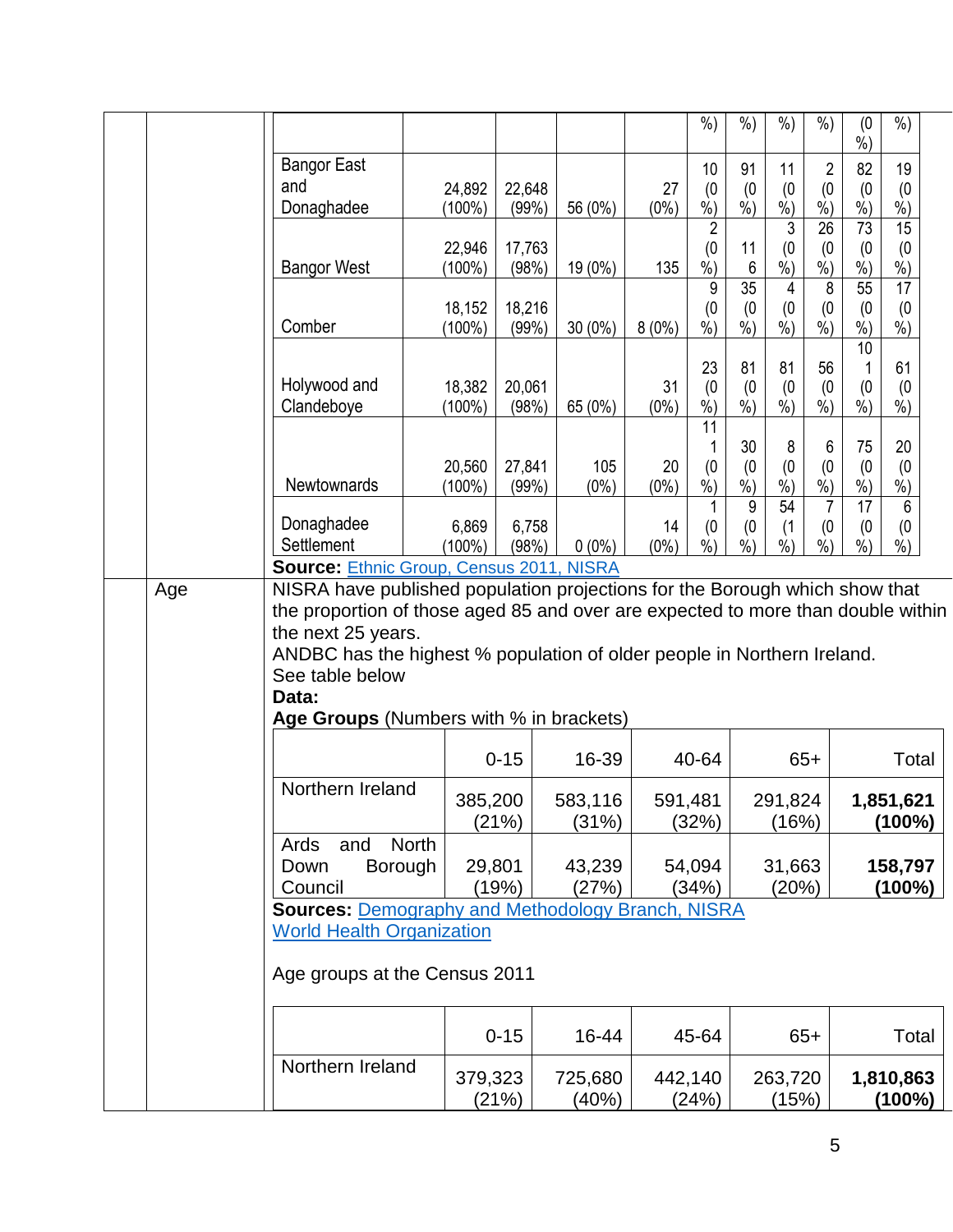|  |                                                                                                                                                                                                                                                          |           |          |                  |         | $%$ )                     | $%$ )                  | $%$ )                     | $%$ )           | (0)<br>$%$ )              | $%$ )                       |  |
|--|----------------------------------------------------------------------------------------------------------------------------------------------------------------------------------------------------------------------------------------------------------|-----------|----------|------------------|---------|---------------------------|------------------------|---------------------------|-----------------|---------------------------|-----------------------------|--|
|  | <b>Bangor East</b>                                                                                                                                                                                                                                       |           |          |                  |         | 10                        | 91                     | 11                        | $\overline{2}$  | 82                        | 19                          |  |
|  | and                                                                                                                                                                                                                                                      | 24,892    | 22,648   |                  | 27      | (0)                       | (0)                    | (0)                       | (0)             | (0)                       | (0)                         |  |
|  | Donaghadee                                                                                                                                                                                                                                               | $(100\%)$ | (99%)    | 56 (0%)          | $(0\%)$ | $\overline{\frac{9}{6}})$ | $\frac{9}{6}$          | $\overline{\frac{9}{6}})$ | $\dot{\%}$      | $\overline{\frac{9}{6}})$ | $\dot{\%})$                 |  |
|  |                                                                                                                                                                                                                                                          |           |          |                  |         | $\overline{2}$            |                        | 3                         | $\overline{26}$ | 73                        | $\overline{15}$             |  |
|  |                                                                                                                                                                                                                                                          | 22,946    | 17,763   |                  |         | (0)                       | 11                     | (0)                       | (0)             | (0)                       | (0)                         |  |
|  | <b>Bangor West</b>                                                                                                                                                                                                                                       | $(100\%)$ | (98%)    | 19 (0%)          | 135     | $%$ )                     | 6                      | $%$ )                     | $%$ )           | $%$ )                     | $%$ )                       |  |
|  |                                                                                                                                                                                                                                                          | 18,152    | 18,216   |                  |         | 9<br>(0)                  | $\overline{35}$<br>(0) | 4<br>(0)                  | 8<br>(0)        | 55<br>(0)                 | 17<br>(0)                   |  |
|  | Comber                                                                                                                                                                                                                                                   | $(100\%)$ | (99%)    | $30(0\%)$        | 8(0%)   | $%$ )                     | $%$ )                  | $%$ )                     | $\frac{0}{0}$   | $%$ )                     | $%$ )                       |  |
|  |                                                                                                                                                                                                                                                          |           |          |                  |         |                           |                        |                           |                 | 10                        |                             |  |
|  |                                                                                                                                                                                                                                                          |           |          |                  |         | 23                        | 81                     | 81                        | 56              |                           | 61                          |  |
|  | Holywood and                                                                                                                                                                                                                                             | 18,382    | 20,061   |                  | 31      | (0)                       | (0)                    | (0)                       | (0)             | (0)                       | (0)                         |  |
|  | Clandeboye                                                                                                                                                                                                                                               | $(100\%)$ | (98%)    | 65 (0%)          | $(0\%)$ | $%$ )                     | $%$ )                  | $%$ )                     | $%$ )           | $%$ )                     | $%$ )                       |  |
|  |                                                                                                                                                                                                                                                          |           |          |                  |         | 11                        |                        |                           |                 |                           |                             |  |
|  |                                                                                                                                                                                                                                                          | 20,560    | 27,841   | 105              | 20      | (0)                       | 30<br>(0)              | 8<br>(0)                  | 6<br>(0)        | 75<br>(0)                 | 20<br>(0)                   |  |
|  | Newtownards                                                                                                                                                                                                                                              | $(100\%)$ | (99%)    | $(0\%)$          | $(0\%)$ | $%$ )                     | $%$ )                  | $%$ )                     | $%$ )           | $%$ )                     | $%$ )                       |  |
|  |                                                                                                                                                                                                                                                          |           |          |                  |         |                           | 9                      | 54                        | $\overline{7}$  | 17                        | 6                           |  |
|  | Donaghadee                                                                                                                                                                                                                                               | 6,869     | 6,758    |                  | 14      | (0)                       | (0)                    | (1)                       | (0)             | (0)                       | (0)                         |  |
|  | Settlement                                                                                                                                                                                                                                               | $(100\%)$ | (98%)    | $0(0\%)$         | $(0\%)$ | $\overline{\frac{9}{6}})$ | $%$ )                  | $%$ )                     | $%$ )           | $%$ )                     | $\frac{\dot{\ }$ $\dot{\ }$ |  |
|  | <b>Source: Ethnic Group, Census 2011, NISRA</b><br>NISRA have published population projections for the Borough which show that                                                                                                                           |           |          |                  |         |                           |                        |                           |                 |                           |                             |  |
|  | the proportion of those aged 85 and over are expected to more than double within<br>the next 25 years.<br>ANDBC has the highest % population of older people in Northern Ireland.<br>See table below<br>Data:<br>Age Groups (Numbers with % in brackets) |           |          |                  |         |                           |                        |                           |                 |                           |                             |  |
|  |                                                                                                                                                                                                                                                          |           | $0 - 15$ | 16-39            |         | 40-64                     |                        |                           | $65+$           |                           | Total                       |  |
|  | Northern Ireland                                                                                                                                                                                                                                         |           |          |                  |         |                           |                        |                           |                 |                           |                             |  |
|  |                                                                                                                                                                                                                                                          | 385,200   | (21%)    | 583,116<br>(31%) |         | 591,481<br>(32%)          |                        | 291,824<br>(16%)          |                 |                           | 1,851,621<br>(100%)         |  |
|  | <b>North</b><br>and<br>Ards                                                                                                                                                                                                                              |           |          |                  |         |                           |                        |                           |                 |                           |                             |  |
|  | <b>Borough</b><br>Down                                                                                                                                                                                                                                   | 29,801    |          | 43,239           |         | 54,094                    |                        | 31,663                    |                 |                           | 158,797                     |  |
|  | Council                                                                                                                                                                                                                                                  |           | (19%)    | (27%)            |         | (34%)                     |                        | (20%)                     |                 |                           | (100%)                      |  |
|  | <b>Sources: Demography and Methodology Branch, NISRA</b>                                                                                                                                                                                                 |           |          |                  |         |                           |                        |                           |                 |                           |                             |  |
|  | <b>World Health Organization</b>                                                                                                                                                                                                                         |           |          |                  |         |                           |                        |                           |                 |                           |                             |  |
|  | Age groups at the Census 2011                                                                                                                                                                                                                            |           |          |                  |         |                           |                        |                           |                 |                           |                             |  |
|  |                                                                                                                                                                                                                                                          |           | $0 - 15$ | 16-44            |         | 45-64                     |                        |                           | $65+$           |                           | Total                       |  |
|  | Northern Ireland                                                                                                                                                                                                                                         | 379,323   | (21%)    | 725,680<br>(40%) |         | 442,140<br>(24%)          |                        | 263,720<br>(15%)          |                 |                           | 1,810,863<br>$(100\%)$      |  |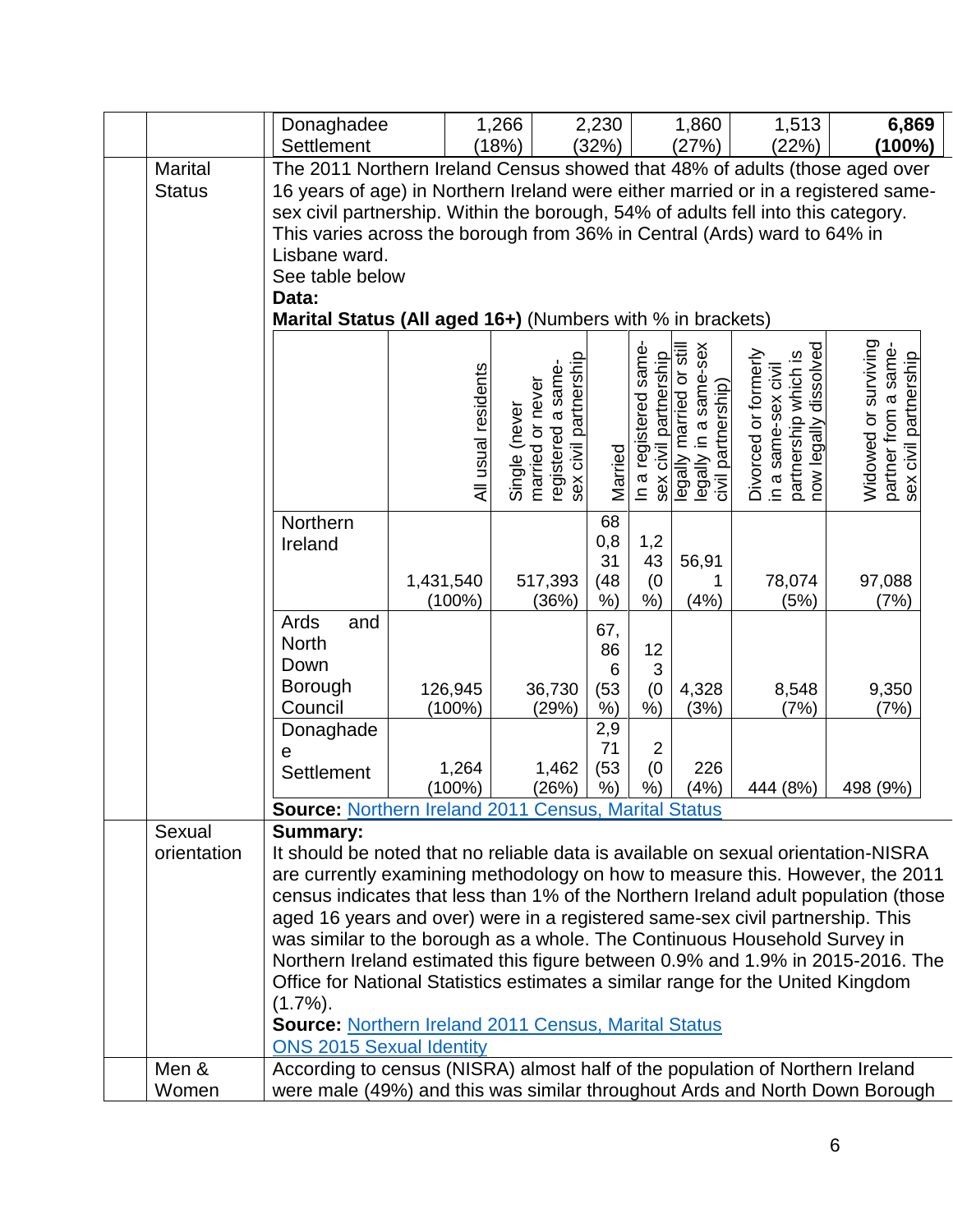|                                 | Donaghadee<br>Settlement                                                                                                                                                                                                                                                                                                                                                                                                                                                                                                                                                                                                                                                                                                                                                                       |                        | 1,266<br>(18%)                                                                   | 2,230<br>(32%)                                       |                                               | 1,860<br>(27%)                                                                                                   | 1,513<br>(22%)                                                                               | 6,869<br>(100%)                                                       |  |
|---------------------------------|------------------------------------------------------------------------------------------------------------------------------------------------------------------------------------------------------------------------------------------------------------------------------------------------------------------------------------------------------------------------------------------------------------------------------------------------------------------------------------------------------------------------------------------------------------------------------------------------------------------------------------------------------------------------------------------------------------------------------------------------------------------------------------------------|------------------------|----------------------------------------------------------------------------------|------------------------------------------------------|-----------------------------------------------|------------------------------------------------------------------------------------------------------------------|----------------------------------------------------------------------------------------------|-----------------------------------------------------------------------|--|
| <b>Marital</b><br><b>Status</b> | The 2011 Northern Ireland Census showed that 48% of adults (those aged over<br>16 years of age) in Northern Ireland were either married or in a registered same-<br>sex civil partnership. Within the borough, 54% of adults fell into this category.<br>This varies across the borough from 36% in Central (Ards) ward to 64% in<br>Lisbane ward.<br>See table below<br>Data:                                                                                                                                                                                                                                                                                                                                                                                                                 |                        |                                                                                  |                                                      |                                               |                                                                                                                  |                                                                                              |                                                                       |  |
|                                 | Marital Status (All aged 16+) (Numbers with % in brackets)                                                                                                                                                                                                                                                                                                                                                                                                                                                                                                                                                                                                                                                                                                                                     | All usual residents    | registered a same-<br>sex civil partnership<br>married or never<br>Single (never | Married                                              | In a registered same<br>sex civil partnership | coluls aupta proper and livio and all his political proper<br>Hegally in a same-sex<br>lips oo peiurera /qlleɓel | partnership which is<br>now legally dissolved<br>Divorced or formerly<br>in a same-sex civil | Widowed or surviving<br>partner from a same-<br>sex civil partnership |  |
|                                 | Northern<br>Ireland                                                                                                                                                                                                                                                                                                                                                                                                                                                                                                                                                                                                                                                                                                                                                                            | 1,431,540<br>$(100\%)$ | 517,393<br>(36%)                                                                 | 68<br>0,8<br>31<br>(48)<br>$%$ )                     | 1,2<br>43<br>(0)<br>%                         | 56,91<br>1<br>(4%)                                                                                               | 78,074<br>(5%)                                                                               | 97,088<br>(7%)                                                        |  |
|                                 | Ards<br>and<br><b>North</b><br>Down<br>Borough<br>Council<br>Donaghade                                                                                                                                                                                                                                                                                                                                                                                                                                                                                                                                                                                                                                                                                                                         | 126,945<br>$(100\%)$   | 36,730<br>(29%)                                                                  | 67,<br>86<br>$6\phantom{1}6$<br>(53)<br>$%$ )<br>2,9 | 12<br>3<br>(0)<br>$%$ )                       | 4,328<br>(3%)                                                                                                    | 8,548<br>(7%)                                                                                | 9,350<br>(7%)                                                         |  |
|                                 | е<br>Settlement                                                                                                                                                                                                                                                                                                                                                                                                                                                                                                                                                                                                                                                                                                                                                                                | 1,264<br>$(100\%)$     | 1,462<br>(26%)                                                                   | 71<br>(53)<br>%                                      | $\overline{2}$<br>(0)<br>%)                   | 226<br>(4% )                                                                                                     | 444 (8%)                                                                                     | 498 (9%)                                                              |  |
| Sexual<br>orientation           | <b>Source: Northern Ireland 2011 Census, Marital Status</b><br><b>Summary:</b><br>It should be noted that no reliable data is available on sexual orientation-NISRA<br>are currently examining methodology on how to measure this. However, the 2011<br>census indicates that less than 1% of the Northern Ireland adult population (those<br>aged 16 years and over) were in a registered same-sex civil partnership. This<br>was similar to the borough as a whole. The Continuous Household Survey in<br>Northern Ireland estimated this figure between 0.9% and 1.9% in 2015-2016. The<br>Office for National Statistics estimates a similar range for the United Kingdom<br>$(1.7\%)$ .<br><b>Source: Northern Ireland 2011 Census, Marital Status</b><br><b>ONS 2015 Sexual Identity</b> |                        |                                                                                  |                                                      |                                               |                                                                                                                  |                                                                                              |                                                                       |  |
| Men &<br>Women                  | According to census (NISRA) almost half of the population of Northern Ireland<br>were male (49%) and this was similar throughout Ards and North Down Borough                                                                                                                                                                                                                                                                                                                                                                                                                                                                                                                                                                                                                                   |                        |                                                                                  |                                                      |                                               |                                                                                                                  |                                                                                              |                                                                       |  |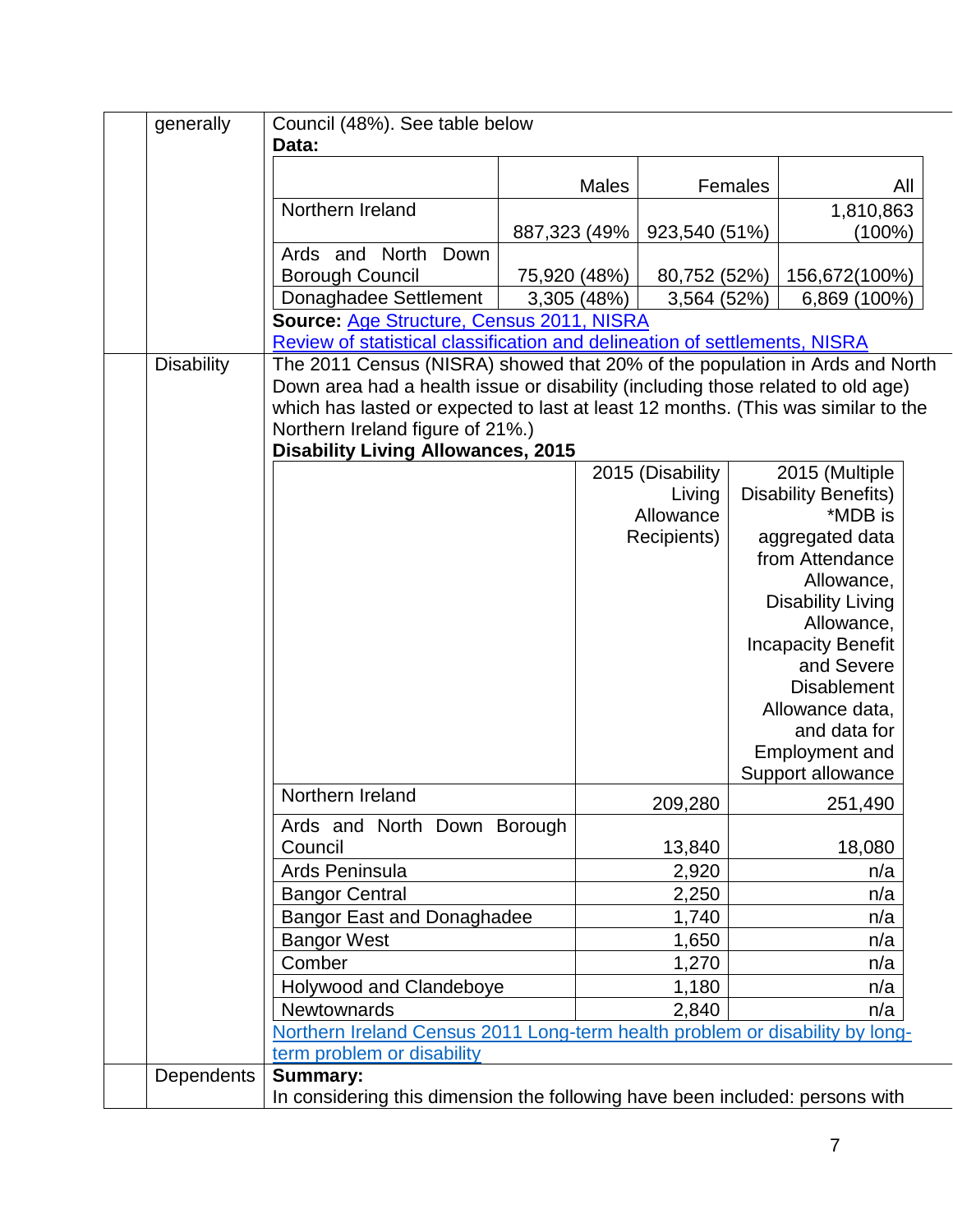| generally         | Council (48%). See table below                                                                                        |               |              |                  |         |                                  |  |  |  |
|-------------------|-----------------------------------------------------------------------------------------------------------------------|---------------|--------------|------------------|---------|----------------------------------|--|--|--|
|                   | Data:                                                                                                                 |               |              |                  |         |                                  |  |  |  |
|                   |                                                                                                                       |               | <b>Males</b> |                  | Females | All                              |  |  |  |
|                   | Northern Ireland                                                                                                      |               |              |                  |         | 1,810,863                        |  |  |  |
|                   |                                                                                                                       | 887,323 (49%) |              | 923,540 (51%)    |         | $(100\%)$                        |  |  |  |
|                   | Ards and North Down                                                                                                   |               |              |                  |         |                                  |  |  |  |
|                   | <b>Borough Council</b>                                                                                                | 75,920 (48%)  |              | 80,752 (52%)     |         | 156,672(100%)                    |  |  |  |
|                   | Donaghadee Settlement                                                                                                 | 3,305 (48%)   |              | 3,564 (52%)      |         | 6,869 (100%)                     |  |  |  |
|                   | Source: Age Structure, Census 2011, NISRA                                                                             |               |              |                  |         |                                  |  |  |  |
|                   | Review of statistical classification and delineation of settlements, NISRA                                            |               |              |                  |         |                                  |  |  |  |
| <b>Disability</b> | The 2011 Census (NISRA) showed that 20% of the population in Ards and North                                           |               |              |                  |         |                                  |  |  |  |
|                   | Down area had a health issue or disability (including those related to old age)                                       |               |              |                  |         |                                  |  |  |  |
|                   | which has lasted or expected to last at least 12 months. (This was similar to the<br>Northern Ireland figure of 21%.) |               |              |                  |         |                                  |  |  |  |
|                   | <b>Disability Living Allowances, 2015</b>                                                                             |               |              |                  |         |                                  |  |  |  |
|                   |                                                                                                                       |               |              | 2015 (Disability |         | 2015 (Multiple                   |  |  |  |
|                   |                                                                                                                       |               |              | Living           |         | <b>Disability Benefits)</b>      |  |  |  |
|                   |                                                                                                                       |               |              | Allowance        |         | *MDB is                          |  |  |  |
|                   |                                                                                                                       |               |              | Recipients)      |         | aggregated data                  |  |  |  |
|                   |                                                                                                                       |               |              |                  |         | from Attendance                  |  |  |  |
|                   |                                                                                                                       |               |              |                  |         | Allowance,                       |  |  |  |
|                   |                                                                                                                       |               |              |                  |         | <b>Disability Living</b>         |  |  |  |
|                   |                                                                                                                       |               |              |                  |         | Allowance,                       |  |  |  |
|                   |                                                                                                                       |               |              |                  |         | <b>Incapacity Benefit</b>        |  |  |  |
|                   |                                                                                                                       |               |              |                  |         | and Severe<br><b>Disablement</b> |  |  |  |
|                   |                                                                                                                       |               |              |                  |         | Allowance data,                  |  |  |  |
|                   |                                                                                                                       |               |              |                  |         | and data for                     |  |  |  |
|                   |                                                                                                                       |               |              |                  |         | <b>Employment and</b>            |  |  |  |
|                   |                                                                                                                       |               |              |                  |         | Support allowance                |  |  |  |
|                   | Northern Ireland                                                                                                      |               |              | 209,280          |         | 251,490                          |  |  |  |
|                   | Ards and North Down Borough                                                                                           |               |              |                  |         |                                  |  |  |  |
|                   | Council                                                                                                               |               |              | 13,840           |         | 18,080                           |  |  |  |
|                   | Ards Peninsula                                                                                                        |               |              | 2,920            |         | n/a                              |  |  |  |
|                   | <b>Bangor Central</b>                                                                                                 |               |              | 2,250            |         | n/a                              |  |  |  |
|                   | <b>Bangor East and Donaghadee</b>                                                                                     |               |              | 1,740            |         | n/a                              |  |  |  |
|                   | <b>Bangor West</b>                                                                                                    |               |              | 1,650            |         | n/a                              |  |  |  |
|                   | Comber                                                                                                                |               |              | 1,270            |         | n/a                              |  |  |  |
|                   | Holywood and Clandeboye                                                                                               |               |              | 1,180            |         | n/a                              |  |  |  |
|                   | Newtownards                                                                                                           |               |              | 2,840            |         | n/a                              |  |  |  |
|                   | Northern Ireland Census 2011 Long-term health problem or disability by long-                                          |               |              |                  |         |                                  |  |  |  |
|                   | term problem or disability                                                                                            |               |              |                  |         |                                  |  |  |  |
| <b>Dependents</b> | <b>Summary:</b>                                                                                                       |               |              |                  |         |                                  |  |  |  |
|                   | In considering this dimension the following have been included: persons with                                          |               |              |                  |         |                                  |  |  |  |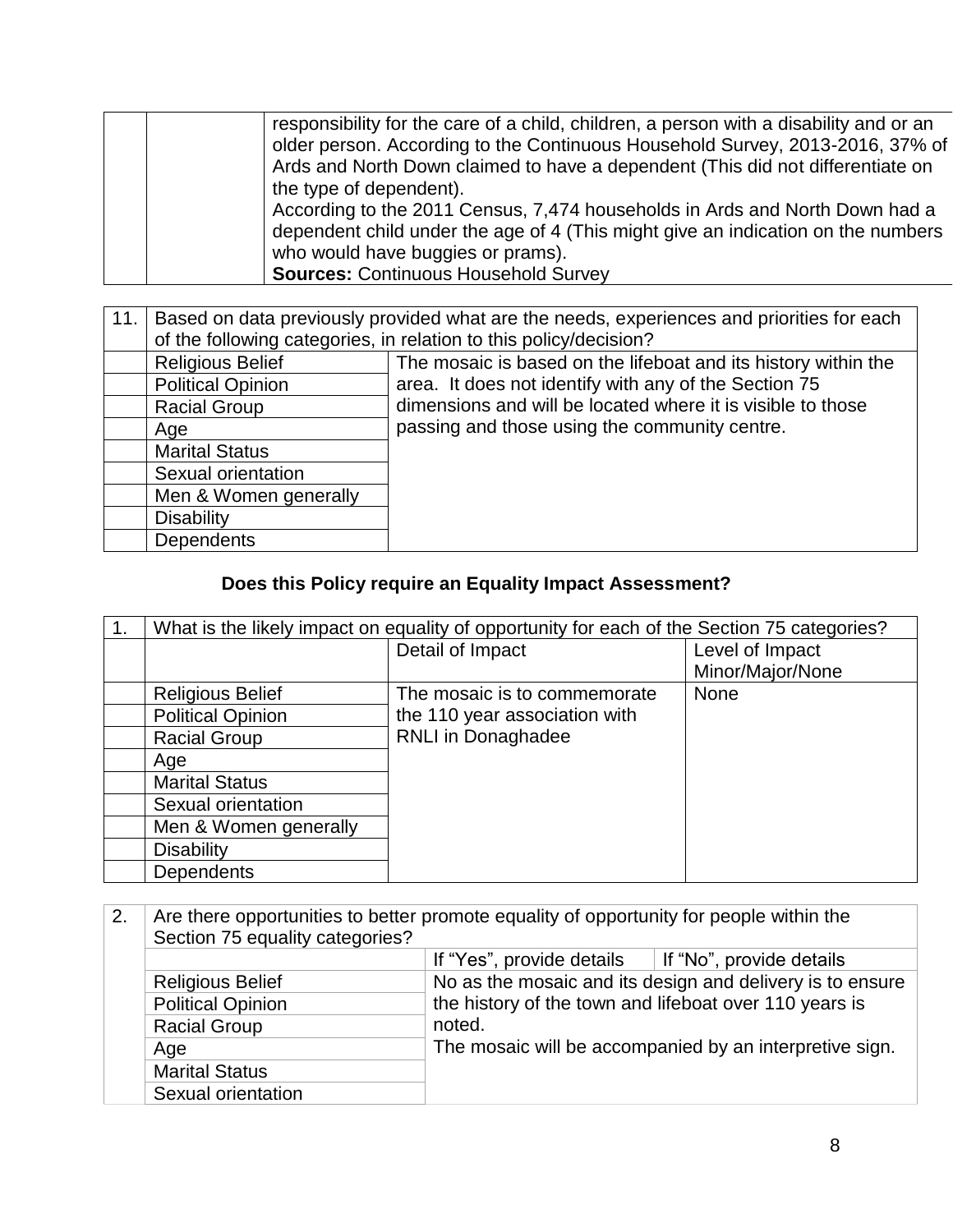| responsibility for the care of a child, children, a person with a disability and or an<br>older person. According to the Continuous Household Survey, 2013-2016, 37% of |  |
|-------------------------------------------------------------------------------------------------------------------------------------------------------------------------|--|
|                                                                                                                                                                         |  |
|                                                                                                                                                                         |  |
| Ards and North Down claimed to have a dependent (This did not differentiate on                                                                                          |  |
| the type of dependent).                                                                                                                                                 |  |
| According to the 2011 Census, 7,474 households in Ards and North Down had a                                                                                             |  |
| dependent child under the age of 4 (This might give an indication on the numbers                                                                                        |  |
| who would have buggies or prams).                                                                                                                                       |  |
| <b>Sources: Continuous Household Survey</b>                                                                                                                             |  |

| 11. | Based on data previously provided what are the needs, experiences and priorities for each |                                                                   |  |  |  |  |  |  |  |
|-----|-------------------------------------------------------------------------------------------|-------------------------------------------------------------------|--|--|--|--|--|--|--|
|     |                                                                                           | of the following categories, in relation to this policy/decision? |  |  |  |  |  |  |  |
|     | <b>Religious Belief</b>                                                                   | The mosaic is based on the lifeboat and its history within the    |  |  |  |  |  |  |  |
|     | <b>Political Opinion</b>                                                                  | area. It does not identify with any of the Section 75             |  |  |  |  |  |  |  |
|     | <b>Racial Group</b>                                                                       | dimensions and will be located where it is visible to those       |  |  |  |  |  |  |  |
|     | Age                                                                                       | passing and those using the community centre.                     |  |  |  |  |  |  |  |
|     | <b>Marital Status</b>                                                                     |                                                                   |  |  |  |  |  |  |  |
|     | Sexual orientation                                                                        |                                                                   |  |  |  |  |  |  |  |
|     | Men & Women generally                                                                     |                                                                   |  |  |  |  |  |  |  |
|     | <b>Disability</b>                                                                         |                                                                   |  |  |  |  |  |  |  |
|     | <b>Dependents</b>                                                                         |                                                                   |  |  |  |  |  |  |  |

## **Does this Policy require an Equality Impact Assessment?**

| 1. | What is the likely impact on equality of opportunity for each of the Section 75 categories? |                               |                  |  |  |  |  |  |  |
|----|---------------------------------------------------------------------------------------------|-------------------------------|------------------|--|--|--|--|--|--|
|    |                                                                                             | Detail of Impact              | Level of Impact  |  |  |  |  |  |  |
|    |                                                                                             |                               | Minor/Major/None |  |  |  |  |  |  |
|    | <b>Religious Belief</b>                                                                     | The mosaic is to commemorate  | <b>None</b>      |  |  |  |  |  |  |
|    | <b>Political Opinion</b>                                                                    | the 110 year association with |                  |  |  |  |  |  |  |
|    | <b>Racial Group</b>                                                                         | <b>RNLI</b> in Donaghadee     |                  |  |  |  |  |  |  |
|    | Age                                                                                         |                               |                  |  |  |  |  |  |  |
|    | <b>Marital Status</b>                                                                       |                               |                  |  |  |  |  |  |  |
|    | Sexual orientation                                                                          |                               |                  |  |  |  |  |  |  |
|    | Men & Women generally                                                                       |                               |                  |  |  |  |  |  |  |
|    | <b>Disability</b>                                                                           |                               |                  |  |  |  |  |  |  |
|    | Dependents                                                                                  |                               |                  |  |  |  |  |  |  |

| 2. | Are there opportunities to better promote equality of opportunity for people within the<br>Section 75 equality categories? |                                                                  |  |  |
|----|----------------------------------------------------------------------------------------------------------------------------|------------------------------------------------------------------|--|--|
|    |                                                                                                                            | If "Yes", provide details $\parallel$ If "No", provide details   |  |  |
|    | <b>Religious Belief</b>                                                                                                    | No as the mosaic and its design and delivery is to ensure        |  |  |
|    | <b>Political Opinion</b>                                                                                                   | the history of the town and lifeboat over 110 years is<br>noted. |  |  |
|    | <b>Racial Group</b>                                                                                                        |                                                                  |  |  |
|    | Age                                                                                                                        | The mosaic will be accompanied by an interpretive sign.          |  |  |
|    | <b>Marital Status</b>                                                                                                      |                                                                  |  |  |
|    | Sexual orientation                                                                                                         |                                                                  |  |  |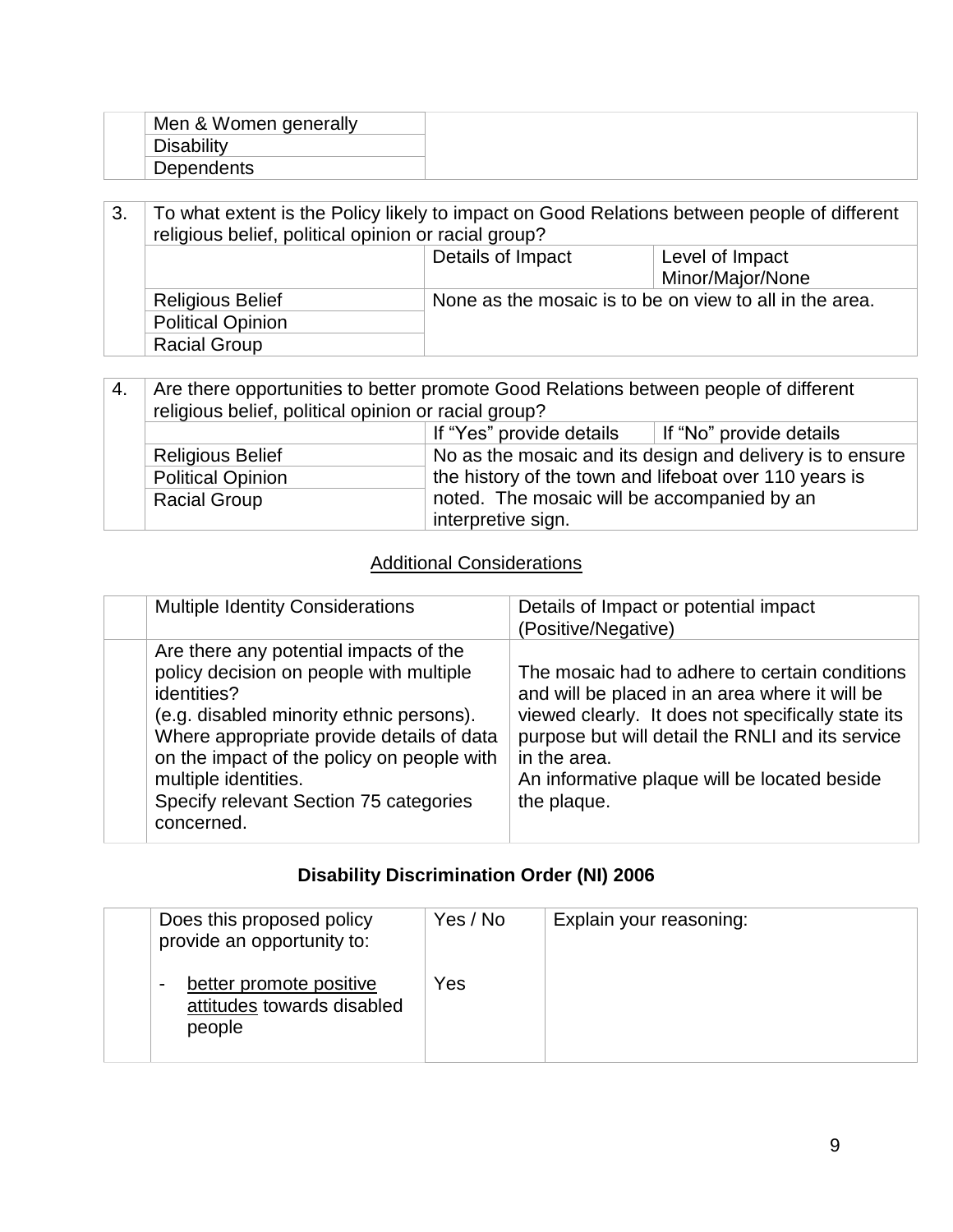| Men & Women generally |  |  |
|-----------------------|--|--|
|                       |  |  |
| <b>Dependents</b>     |  |  |

3. To what extent is the Policy likely to impact on Good Relations between people of different religious belief, political opinion or racial group? Details of Impact Level of Impact Minor/Major/None Religious Belief None as the mosaic is to be on view to all in the area. Political Opinion Racial Group

| 4. | Are there opportunities to better promote Good Relations between people of different<br>religious belief, political opinion or racial group? |                                                                                                                                                                    |  |  |
|----|----------------------------------------------------------------------------------------------------------------------------------------------|--------------------------------------------------------------------------------------------------------------------------------------------------------------------|--|--|
|    | If "Yes" provide details<br>If "No" provide details                                                                                          |                                                                                                                                                                    |  |  |
|    | <b>Religious Belief</b>                                                                                                                      | No as the mosaic and its design and delivery is to ensure<br>the history of the town and lifeboat over 110 years is<br>noted. The mosaic will be accompanied by an |  |  |
|    | <b>Political Opinion</b>                                                                                                                     |                                                                                                                                                                    |  |  |
|    | <b>Racial Group</b>                                                                                                                          |                                                                                                                                                                    |  |  |
|    | interpretive sign.                                                                                                                           |                                                                                                                                                                    |  |  |

#### Additional Considerations

|  | <b>Multiple Identity Considerations</b>                                                                                                                                                                                                                                                                                 | Details of Impact or potential impact<br>(Positive/Negative)                                                                                                                                                                                                                              |
|--|-------------------------------------------------------------------------------------------------------------------------------------------------------------------------------------------------------------------------------------------------------------------------------------------------------------------------|-------------------------------------------------------------------------------------------------------------------------------------------------------------------------------------------------------------------------------------------------------------------------------------------|
|  | Are there any potential impacts of the<br>policy decision on people with multiple<br>identities?<br>(e.g. disabled minority ethnic persons).<br>Where appropriate provide details of data<br>on the impact of the policy on people with<br>multiple identities.<br>Specify relevant Section 75 categories<br>concerned. | The mosaic had to adhere to certain conditions<br>and will be placed in an area where it will be<br>viewed clearly. It does not specifically state its<br>purpose but will detail the RNLI and its service<br>in the area.<br>An informative plaque will be located beside<br>the plaque. |

### **Disability Discrimination Order (NI) 2006**

| Does this proposed policy<br>provide an opportunity to:              | Yes / No | Explain your reasoning: |
|----------------------------------------------------------------------|----------|-------------------------|
| better promote positive<br>٠<br>attitudes towards disabled<br>people | Yes      |                         |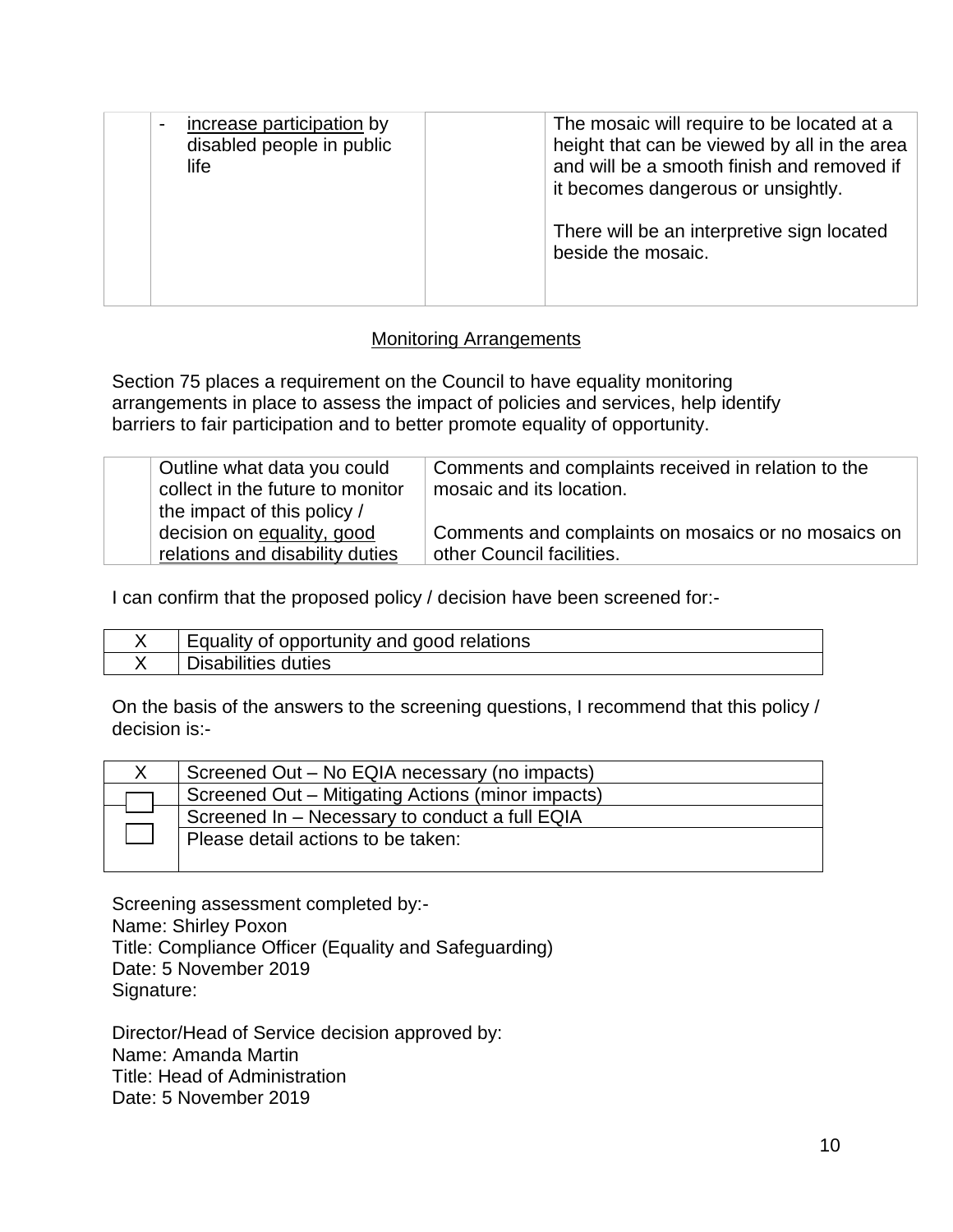| increase participation by<br>disabled people in public<br>life | The mosaic will require to be located at a<br>height that can be viewed by all in the area<br>and will be a smooth finish and removed if<br>it becomes dangerous or unsightly. |
|----------------------------------------------------------------|--------------------------------------------------------------------------------------------------------------------------------------------------------------------------------|
|                                                                | There will be an interpretive sign located<br>beside the mosaic.                                                                                                               |

#### Monitoring Arrangements

Section 75 places a requirement on the Council to have equality monitoring arrangements in place to assess the impact of policies and services, help identify barriers to fair participation and to better promote equality of opportunity.

| Outline what data you could<br>collect in the future to monitor<br>the impact of this policy / | Comments and complaints received in relation to the<br>mosaic and its location. |
|------------------------------------------------------------------------------------------------|---------------------------------------------------------------------------------|
| decision on equality, good                                                                     | Comments and complaints on mosaics or no mosaics on                             |
| relations and disability duties                                                                | other Council facilities.                                                       |

I can confirm that the proposed policy / decision have been screened for:-

| Equality of opportunity and good relations |
|--------------------------------------------|
| Disabilities duties                        |

On the basis of the answers to the screening questions, I recommend that this policy / decision is:-

| Screened Out – No EQIA necessary (no impacts)     |
|---------------------------------------------------|
| Screened Out – Mitigating Actions (minor impacts) |
| Screened In - Necessary to conduct a full EQIA    |
| Please detail actions to be taken:                |
|                                                   |

Screening assessment completed by:- Name: Shirley Poxon Title: Compliance Officer (Equality and Safeguarding) Date: 5 November 2019 Signature:

Director/Head of Service decision approved by: Name: Amanda Martin Title: Head of Administration Date: 5 November 2019